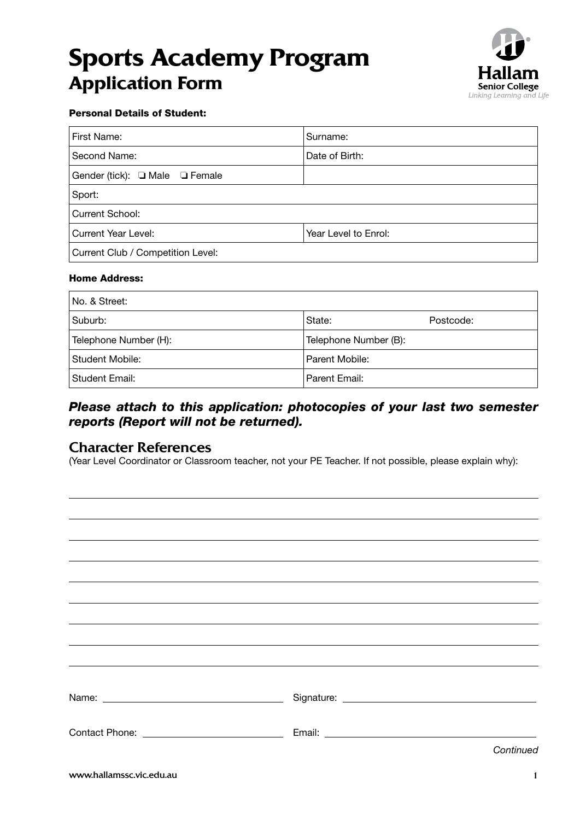# **Sports Academy Program Application Form**



#### Personal Details of Student:

| First Name:                       | Surname:             |  |  |  |  |  |
|-----------------------------------|----------------------|--|--|--|--|--|
| Second Name:                      | Date of Birth:       |  |  |  |  |  |
| Gender (tick): I Male I Female    |                      |  |  |  |  |  |
| Sport:                            |                      |  |  |  |  |  |
| Current School:                   |                      |  |  |  |  |  |
| <b>Current Year Level:</b>        | Year Level to Enrol: |  |  |  |  |  |
| Current Club / Competition Level: |                      |  |  |  |  |  |

#### Home Address:

| No. & Street:         |                       |           |  |  |  |  |  |
|-----------------------|-----------------------|-----------|--|--|--|--|--|
| Suburb:               | State:                | Postcode: |  |  |  |  |  |
| Telephone Number (H): | Telephone Number (B): |           |  |  |  |  |  |
| Student Mobile:       | Parent Mobile:        |           |  |  |  |  |  |
| Student Email:        | Parent Email:         |           |  |  |  |  |  |

# *Please attach to this application: photocopies of your last two semester reports (Report will not be returned).*

### Character References

(Year Level Coordinator or Classroom teacher, not your PE Teacher. If not possible, please explain why):

| Continued |
|-----------|